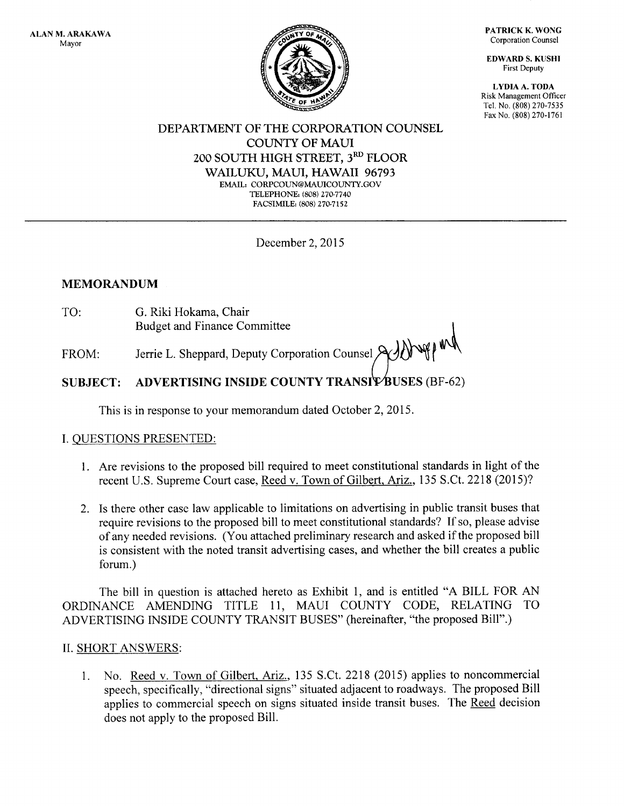

PATRICK K. WONG Corporation Counsel

EDWARD S. KUSHI First Deputy

I,YDIA A. TODA Risk Management Officer Tel. No. (808) 270-7535 Fax No. (808) 270-1761

#### DEPARTMENT OF THE CORPORATION COUNSEL COUNTY OF MAUI 2OO SOUTH HIGH STREET, 3RD FLOOR WAILUKU, MAUI, HAWAII 96793 EMAIL: CORPCOUN@MAUICOUNTY.GOV TELEPHONE: (808) 270-7740 FACSIMILE: (808) 270.71s2

December 2, 2015

# MEMORANDUM

TO: G. Riki Hokama, Chair Budget and Finance Committee

FROM: Jerrie L. Sheppard, Deputy Corporation Counsel  $\mathcal{A}\mathcal{A}\mathcal{N}$  $\bigg($ 

#### SUBJECT: ADVERTISING INSIDE COUNTY TRANSIT BUSES (BF-62)

This is in response to your memorandum dated October 2,2015.

# I. QUESTIONS PRESENTED:

- l. Are revisions to the proposed bill required to meet constitutional standards in light of the recent U.S. Supreme Court case, Reed v. Town of Gilbert, Ariz., 135 S.Ct. 2218 (2015)?
- 2. Is there other case law applicable to limitations on advertising in public transit buses that require revisions to the proposed bill to meet constitutional standards? If so, please advise of any needed revisions. (You attached preliminary research and asked if the proposed bill is consistent with the noted transit advertising cases, and whether the bill creates a public forum.)

The bill in question is attached hereto as Exhibit 1, and is entitled "A BILL FOR AN ORDINANCE AMENDING TITLE 11, MAUI COUNTY CODE, RELATING TO ADVERTISING INSIDE COLINTY TRANSIT BUSES" (hereinafter, "the proposed Bill".)

# II. SHORT ANSWERS:

l. No. Reed v. Town of Gilbert. Ariz., 135 S.Ct. 2218 (2015) applies to noncommercial speech, specifically, "directional signs" situated adjacent to roadways. The proposed Bill applies to commercial speech on signs situated inside transit buses. The Reed decision does not apply to the proposed Bill.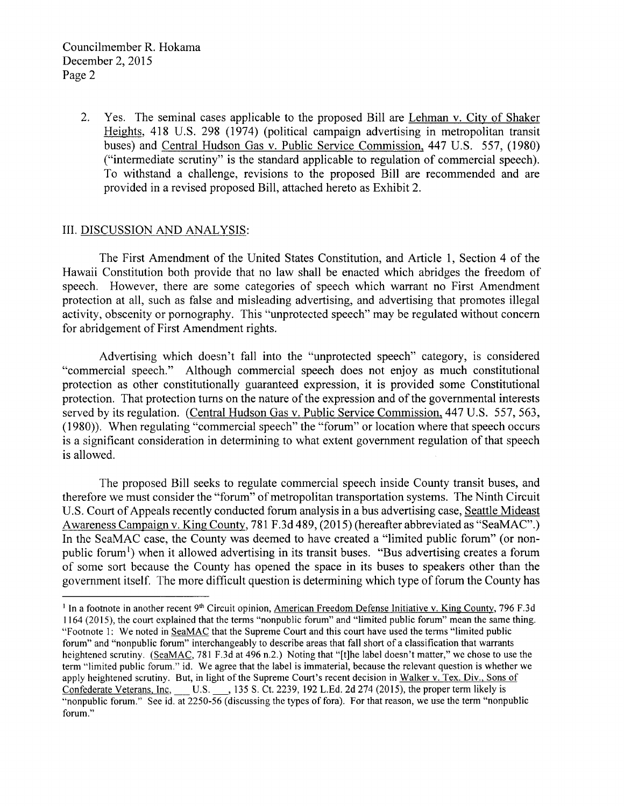2. Yes. The seminal cases applicable to the proposed Bill are Lehman v. City of Shaker Heights, 418 U.S. 298 (1974) (political campaign advertising in metropolitan transit buses) and Central Hudson Gas v. Public Service Commission, 447 U.S. 557, (1980) ("intermediate scrutiny" is the standard applicable to regulation of commercial speech). To withstand a challenge, revisions to the proposed Bill are recommended and are provided in a revised proposed Bill, attached hereto as Exhibit 2.

## III. DISCUSSION AND ANALYSIS:

The First Amendment of the United States Constitution, and Article 1, Section 4 of the Hawaii Constitution both provide that no law shall be enacted which abridges the freedom of speech. However, there are some categories of speech which warrant no First Amendment protection at all, such as false and misleading advertising, and advertising that promotes illegal activity, obscenity or pornography. This "unprotected speech" may be regulated without concem for abridgement of First Amendment rights.

Advertising which doesn't fall into the "unprotected speech" category, is considered "commercial speech." Although commercial speech does not enjoy as much constitutional protection as other constitutionally guaranteed expression, it is provided some Constitutional protection. That protection turns on the nature of the expression and of the governmental interests served by its regulation. (Central Hudson Gas v. Public Service Commission. 447 U.S. 557 , 563, (1980)). When regulating "commercial speech" the "forum" or location where that speech occurs is a significant consideration in determining to what extent government regulation of that speech is allowed.

The proposed Bill seeks to regulate commercial speech inside County transit buses, and therefore we must consider the "forum" of metropolitan transportation systems. The Ninth Circuit U.S. Court of Appeals recently conducted forum analysis in a bus advertising case, Seattle Mideast Awareness Campaign v. King County, 781 F.3d 489, (2015) (hereafter abbreviated as "SeaMAC".) In the SeaMAC case, the County was deemed to have created a "limited public forum" (or nonpublic forum<sup>1</sup>) when it allowed advertising in its transit buses. "Bus advertising creates a forum of some sort because the County has opened the space in its buses to speakers other than the government itself. The more difficult question is determining which type of forum the County has

<sup>&</sup>lt;sup>1</sup> In a footnote in another recent 9<sup>th</sup> Circuit opinion, American Freedom Defense Initiative v. King County, 796 F.3d 1164 (2015), the court explained that the terms "nonpublic forum" and "limited public forum" mean the same thing. "Footnote 1: We noted in SeaMAC that the Supreme Court and this court have used the terms "limited public forum" and "nonpublic forum" interchangeably to describe areas that fall short of a classification that warrants heightened scrutiny. (SeaMAC, 781 F.3d at 496 n.2.) Noting that "[t]he label doesn't matter," we chose to use the term "limited public forum." id. We agree that the label is immaterial, because the relevant question is whether we apply heightened scrutiny. But, in light of the Supreme Court's recent decision in Walker v. Tex. Div., Sons of Confederate Veterans, Inc, U.S. 135 S. Ct. 2239, 192 L.Ed. 2d 274 (2015), the proper term likely is "nonpublic forum." See id. at  $2250 - 56$  (discussing the types of fora). For that reason, we use the term "nonpublic forum."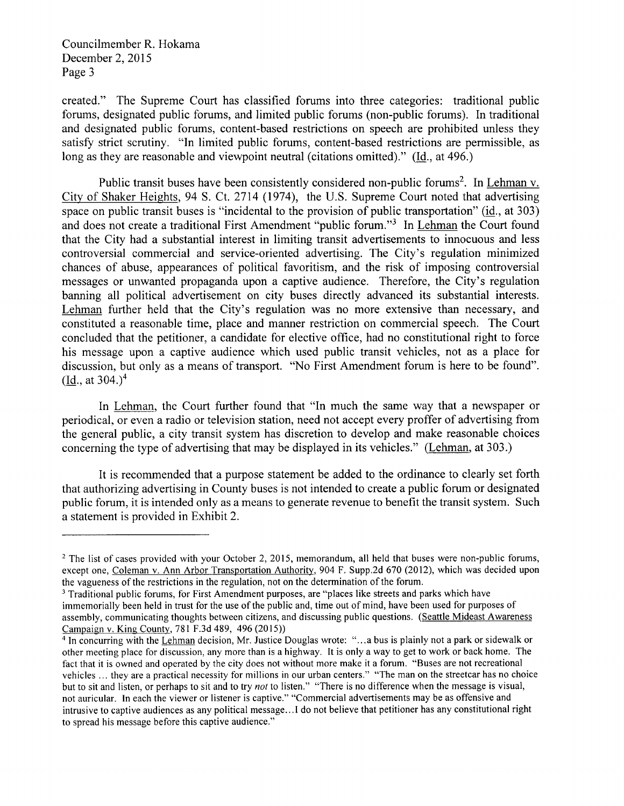Councilmember R. Hokama December 2,2015 Page 3

created." The Supreme Court has classified forums into three categories: traditional public forums, designated public forums, and limited public forums (non-public forums). In traditional and designated public forums, content-based restrictions on speech are prohibited unless they satisfy strict scrutiny. "In limited public forums, content-based restrictions are permissible, as long as they are reasonable and viewpoint neutral (citations omitted)." (Id, at 496.)

Public transit buses have been consistently considered non-public forums<sup>2</sup>. In Lehman v. City of Shaker Heights, 94 S. Ct.2714 (1974), the U.S. Supreme Court noted that advertising space on public transit buses is "incidental to the provision of public transportation" (id., at 303) and does not create a traditional First Amendment "public forum."<sup>3</sup> In Lehman the Court found that the City had a substantial interest in limiting transit advertisements to innocuous and less controversial commercial and service-oriented advertising. The City's regulation minimized chances of abuse, appearances of political favoritism, and the risk of imposing controversial messages or unwanted propaganda upon a captive audience. Therefore, the City's regulation banning all political advertisement on city buses directly advanced its substantial interests. Lehman further held that the City's regulation was no more extensive than necessary, and constituted a reasonable time, place and manner restriction on commercial speech. The Court concluded that the petitioner, a candidate for elective office, had no constitutional right to force his message upon a captive audience which used public transit vehicles, not as a place for discussion, but only as a means of transport. "No First Amendment forum is here to be found".  $($ Id., at 304. $)^4$ 

In Lehman, the Court further found that "In much the same way that a newspaper or periodical, or even a radio or television station, need not accept every proffer of advertising from the general public, a city transit system has discretion to develop and make reasonable choices concerning the type of advertising that may be displayed in its vehicles." (Lehman, at 303.)

It is recommended that a purpose statement be added to the ordinance to clearly set forth that authorizing advertising in County buses is not intended to create a public forum or designated public forum, it is intended only as a means to generate revenue to benefit the transit system. Such a statement is provided in Exhibit 2.

<sup>&</sup>lt;sup>2</sup> The list of cases provided with your October 2, 2015, memorandum, all held that buses were non-public forums, except one, Coleman v. Ann Arbor Transportation Authority, 904 F. Supp.2d 670 (2012), which was decided upon the vagueness of the restrictions in the regulation, not on the determination of the forum.

<sup>&</sup>lt;sup>3</sup> Traditional public forums, for First Amendment purposes, are "places like streets and parks which have immemorially been held in trust for the use of the public and, time out of mind, have been used for purposes of assembly, communicating thoughts between citizens, and discussing public questions. (Seattle Mideast Awareness Campaign v. King County, 781 F.3d 489, 496 (2015))

 $\frac{4}{10}$  In concurring with the Lehman decision, Mr. Justice Douglas wrote: "...a bus is plainly not a park or sidewalk or other meeting place for discussion, any more than is a highway. It is only a way to get to work or back home. The fact that it is owned and operated by the city does not without more make it a forum. "Buses are not recreational vehicles ... they are a practical necessity for millions in our urban centers." "The man on the streetcar has no choice but to sit and listen, or perhaps to sit and to try not to listen." "There is no difference when the message is visual, not auricular. In each the viewer or listener is captive." "Commercial advertisements may be as offensive and intrusive to captive audiences as any political message...I do not believe that petitioner has any constitutional right to spread his message before this captive audience."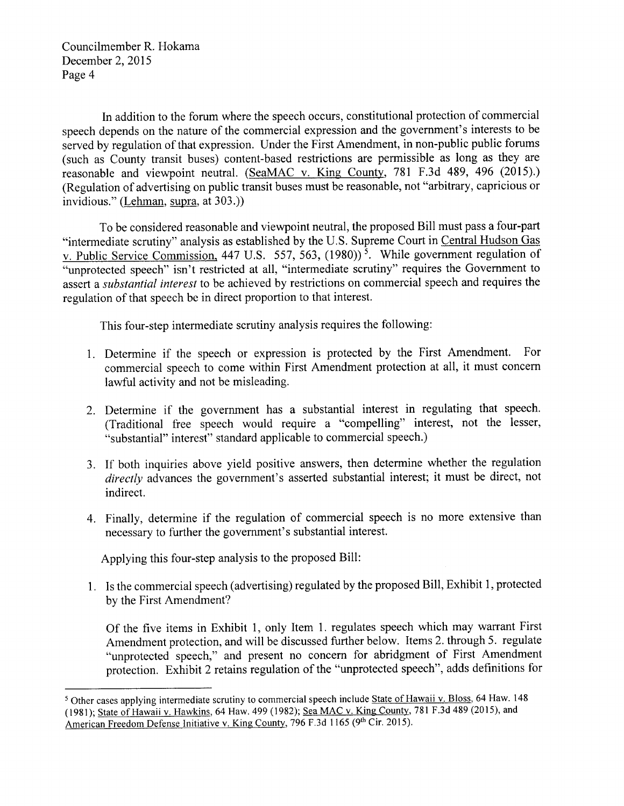Councilmember R. Hokama December 2, 2015 Page 4

In addition to the forum where the speech occurs, constitutional protection of commercial speech depends on the nature of the commercial expression and the government's interests to be served by regulation of that expression. Under the First Amendment, in non-public public forums (such as County transit buses) content-based restrictions are permissible as long as they are reasonable and viewpoint neutral. (SeaMAC v. King County, 781 F.3d 489, 496 (2015).) (Regulation of advertising on public transit buses must be reasonable, not "arbitrary, capricious or invidious." (Lehman, supra, at 303.))

To be considered reasonable and viewpoint neutral, the proposed Bill must pass a four-part "intermediate scrutiny" analysis as established by the U.S. Supreme Court in Central Hudson Gas v. Public Service Commission. 447 U.S. 557, 563, (1980))<sup>5</sup>. While government regulation of "unprotected speech" isn't restricted at all, "intermediate scrutiny" requires the Government to assert a substantial interest to be achieved by restrictions on commercial speech and requires the regulation of that speech be in direct proportion to that interest.

This four-step intermediate scrutiny analysis requires the following:

- 1. Determine if the speech or expression is protected by the First Amendment. For commercial speech to come within First Amendment protection at all, it must concern lawful activity and not be misleading.
- 2. Determine if the govemment has a substantial interest in regulating that speech. (Traditional free speech would require a "compelling" interest, not the lesser, "substantial" interest" standard applicable to commercial speech.)
- 3. If both inquiries above yield positive answers, then determine whether the regulation directly advances the government's asserted substantial interest; it must be direct, not indirect.
- 4. Finally, determine if the regulation of commercial speech is no more extensive than necessary to further the government's substantial interest.

Applying this four-step analysis to the proposed Bill:

1. Is the commercial speech (advertising) regulated by the proposed Bill, Exhibit 1, protected by the First Amendment?

Of the five items in Exhibit 1, only Item 1. regulates speech which may warrant First Amendment protection, and will be discussed further below. Items 2. through 5. regulate "unprotected speech," and present no concern for abridgment of First Amendment protection. Exhibit 2 retains regulation of the "unprotected speech", adds definitions for

<sup>&</sup>lt;sup>5</sup> Other cases applying intermediate scrutiny to commercial speech include State of Hawaii v. Bloss, 64 Haw. 148 (1981); State of Hawaii v. Hawkins, 64 Haw. 499 (1982); Sea MAC v. King County, 781 F.3d 489 (2015), and American Freedom Defense Initiative v. King County, 796 F.3d 1165 (9th Cir. 2015).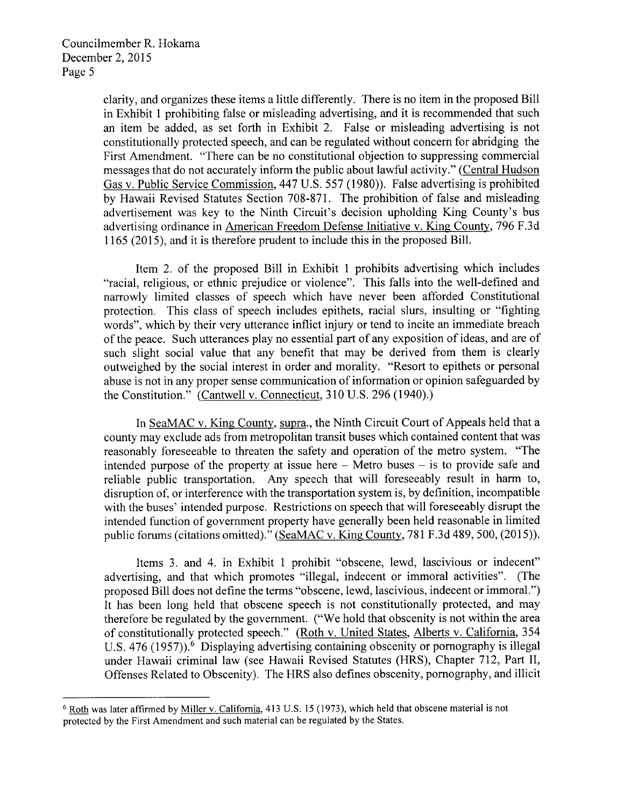clarity, and organizes these items a little differently. There is no item in the proposed Bill in Exhibit 1 prohibiting false or misleading advertising, and it is recommended that such an item be added, as set forth in Exhibit 2. False or misleading advertising is not constitutionally protected speech, and can be regulated without concern for abridging the First Amendment. "There can be no constitutional objection to suppressing commercial messages that do not accurately inform the public about lawful activity." (Central Hudson Gas v. Public Service Commission,44T U.5.557 (1980)). False advertising is prohibited by Hawaii Revised Statutes Section 708-871. The prohibition of false and misleading advertisement was key to the Ninth Circuit's decision upholding King County's bus advertising ordinance in American Freedom Defense Initiative v. King County,796 F.3d 1165 (2015), and it is therefore prudent to include this in the proposed Bill.

Item 2. of the proposed Bill in Exhibit I prohibits advertising which includes "racial, religious, or ethnic prejudice or violence". This falls into the well-defined and narrowly limited classes of speech which have never been afforded Constitutional protection. This class of speech includes epithets, racial slurs, insulting or "fighting words", which by their very utterance inflict injury or tend to incite an immediate breach of the peace. Such utterances play no essential part of any exposition of ideas, and are of such slight social value that any benefit that may be derived from them is clearly outweighed by the social interest in order and morality. "Resort to epithets or personal abuse is not in any proper sense communication of information or opinion safeguarded by the Constitution." (Cantwell v. Connecticut, 310 U.S. 296 (1940).)

In SeaMAC v. Kine County, supra., the Ninth Circuit Court of Appeals held that a county may exclude ads from metropolitan transit buses which contained content that was reasonably foreseeable to threaten the safety and operation of the metro system. "The intended purpose of the property at issue here  $-$  Metro buses  $-$  is to provide safe and reliable public transportation. Any speech that will foreseeably result in harm to, disruption of, or interference with the transportation system is, by definition, incompatible with the buses' intended purpose. Restrictions on speech that will foreseeably disrupt the intended function of government property have generally been held reasonable in limited public forums (citations omitted)." (SeaMAC v. King County,781 F.3d 489, 500, (2015)).

Items 3. and 4. in Exhibit 1 prohibit "obscene, lewd, lascivious or indecent" advertising, and that which promotes "illegal, indecent or immoral activities". (The proposed Bill does not define the terms "obscene, lewd, lascivious, indecent or immoral.") It has been long held that obscene speech is not constitutionally protected, and may therefore be regulated by the government. ("We hold that obscenity is not within the area of constitutionally protected speech." (Roth v. United States, Alberts v. California, 354 U.S.  $476$  (1957)).<sup>6</sup> Displaying advertising containing obscenity or pornography is illegal under Hawaii criminal law (see Hawaii Revised Statutes (HRS), Chapter 712, Part II, Offenses Related to Obscenity). The HRS also defines obscenity, pornography, and illicit

 $6$  Roth was later affirmed by Miller v. California, 413 U.S. 15 (1973), which held that obscene material is not protected by the First Amendment and such material can be regulated by the States.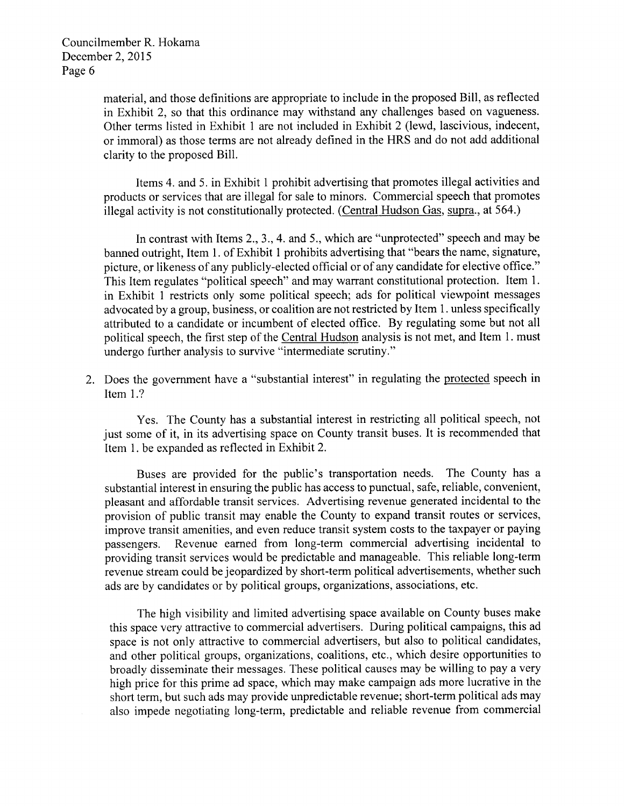material, and those definitions are appropriate to include in the proposed Bill, as reflected in Exhibit 2, so that this ordinance may withstand any challenges based on vagueness. Other terms listed in Exhibit I are not included in Exhibit 2 (lewd, lascivious, indecent, or immoral) as those terms are not already defined in the HRS and do not add additional clarity to the proposed Bill.

Items 4. and 5. in Exhibit 1 prohibit advertising that promotes illegal activities and products or services that are illegal for sale to minors. Commercial speech that promotes illegal activity is not constitutionally protected. (Central Hudson Gas, supra., at 564.)

In contrast with Items 2, 3, 4, and 5, which are "unprotected" speech and may be banned outright, Item 1. of Exhibit 1 prohibits advertising that "bears the name, signature, picture, or likeness of any publicly-elected official or of any candidate for elective office." This Item regulates "political speech" and may warrant constitutional protection. Item 1. in Exhibit 1 restricts only some political speech; ads for political viewpoint messages advocated by a group, business, or coalition are not restricted by Item 1. unless specifically attributed to a candidate or incumbent of elected offtce. By regulating some but not all political speech, the first step of the Central Hudson analysis is not met, and Item 1. must undergo further analysis to survive "intermediate scrutiny."

2. Does the government have a "substantial interest" in regulating the protected speech in Item 1.?

Yes. The County has a substantial interest in restricting all political speech, not just some of it, in its advertising space on County transit buses. It is recommended that Item 1. be expanded as reflected in Exhibit 2.

Buses are provided for the public's transportation needs. The County has <sup>a</sup> substantial interest in ensuring the public has access to punctual, safe, reliable, convenient, pleasant and affordable transit services. Advertising revenue generated incidental to the provision of public transit may enable the County to expand transit routes or services, improve transit amenities, and even reduce transit system costs to the taxpayer or paying passengers. Revenue earned from long-term commercial advertising incidental to providing transit services would be predictable and manageable. This reliable long-term revenue stream could be jeopardized by short-term political advertisements, whether such ads are by candidates or by political groups, organizations, associations, etc.

The high visibility and limited advertising space available on County buses make this space very attractive to commercial advertisers. During political campaigns, this ad space is not only attractive to commercial advertisers, but also to political candidates, and other political groups, organizations, coalitions, etc., which desire opportunities to broadly disseminate their messages. These political causes may be willing to pay a very high price for this prime ad space, which may make campaign ads more lucrative in the short term, but such ads may provide unpredictable revenue; short-term political ads may also impede negotiating long-term, predictable and reliable revenue from commercial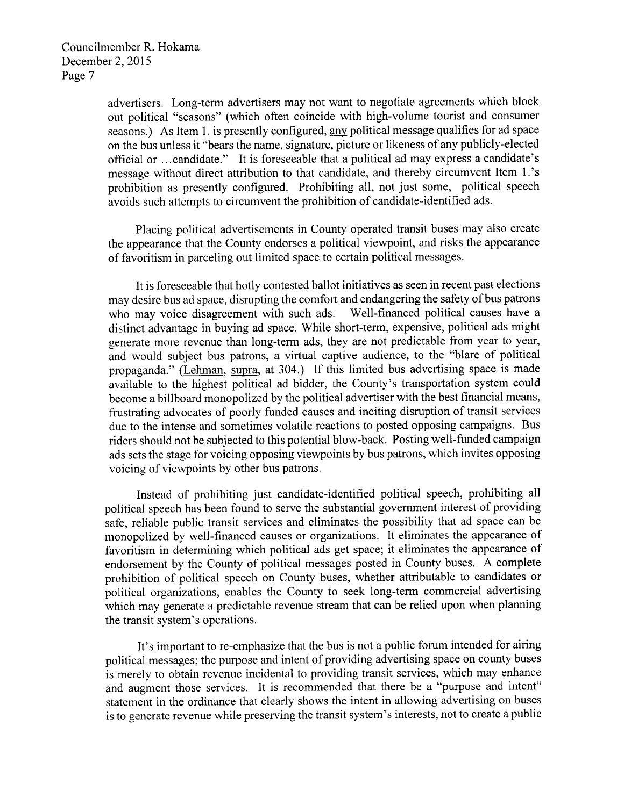advertisers. Long-term advertisers may not want to negotiate agreements which block out political "seasons" (which often coincide with high-volume tourist and consumer seasons.) As Item 1. is presently configured, any political message qualifies for ad space on the bus unless it "bears the name, signature, picture or likeness of any publicly-elected official or ...candidate." It is foreseeable that apolitical ad may express a candidate's message without direct attribution to that candidate, and thereby circumvent Item l.'s prohibition as presently configured. Prohibiting all, not just some, political speech avoids such attempts to circumvent the prohibition of candidate-identified ads.

Placing political advertisements in County operated transit buses may also create the appearance that the County endorses a political viewpoint, and risks the appearance of favoritism in parceling out limited space to certain political messages.

It is foreseeable that hotly contested ballot initiatives as seen in recent past elections may desire bus ad space, disrupting the comfort and endangering the safety of bus patrons who may voice disagreement with such ads. Well-financed political causes have <sup>a</sup> distinct advantage in buying ad space. While short-term, expensive, political ads might generate more revenue than long-term ads, they are not predictable from year to year, and would subject bus patrons, a virtual captive audience, to the "blare of political propaganda." (Lehman, supra, at 304.) If this limited bus advertising space is made available to the highest political ad bidder, the County's transportation system could become a billboard monopolized by the political advertiser with the best financial means, frustrating advocates of poorly funded causes and inciting disruption of transit services due to the intense and sometimes volatile reactions to posted opposing campaigns. Bus riders should not be subjected to this potential blow-back. Posting well-funded campaign ads sets the stage for voicing opposing viewpoints by bus patrons, which invites opposing voicing of viewpoints by other bus patrons.

Instead of prohibiting just candidate-identified political speech, prohibiting all political speech has been found to serve the substantial government interest of providing safe, reliable public transit services and eliminates the possibility that ad space can be monopolized by well-financed causes or organizations. It eliminates the appearance of favoritism in determining which political ads get space; it eliminates the appearance of endorsement by the County of political messages posted in County buses. A complete prohibition of political speech on County buses, whether attributable to candidates or political organizations, enables the County to seek long-term commercial advertising which may generate a predictable revenue stream that can be relied upon when planning the transit system's operations.

It's important to re-emphasize that the bus is not a public forum intended for airing political messages; the purpose and intent of providing advertising space on county buses is merely to obtain revenue incidental to providing transit services, which may enhance and augment those services. It is recommended that there be a "purpose and intent" statement in the ordinance that clearly shows the intent in allowing advertising on buses is to generate revenue while preserving the transit system's interests, not to create a public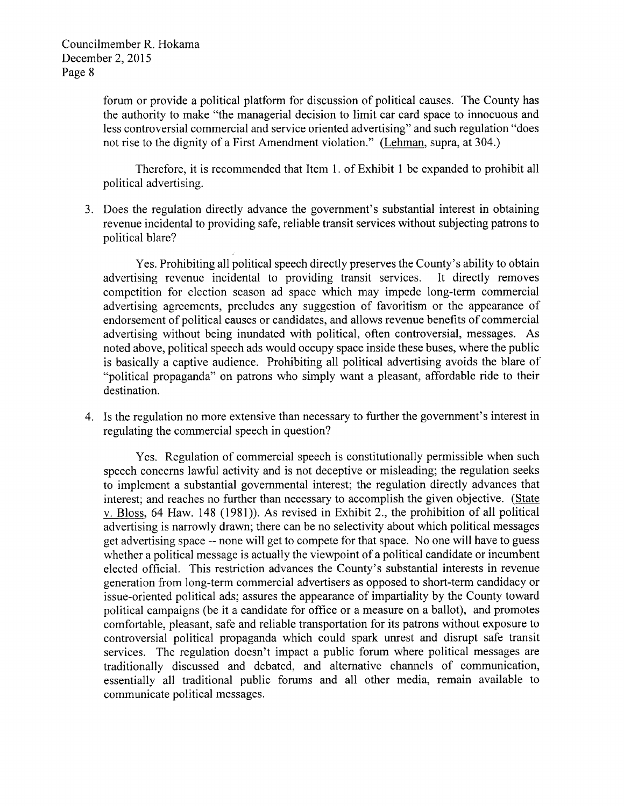forum or provide a political platform for discussion of political causes. The County has the authority to make "the managerial decision to limit car card space to innocuous and less controversial commercial and service oriented advertising" and such regulation "does not rise to the dignity of a First Amendment violation." (Lehman, supra, at 304.)

Therefore, it is recommended that Item l. of Exhibit I be expanded to prohibit all political advertising.

1 J. Does the regulation directly advance the government's substantial interest in obtaining revenue incidental to providing safe, reliable transit services without subjecting patrons to political blare?

Yes. Prohibiting all political speech directly preserves the County's ability to obtain advertising revenue incidental to providing transit services. It directly removes competition for election season ad space which may impede long-term commercial advertising agreements, precludes any suggestion of favoritism or the appearance of endorsement of political causes or candidates, and allows revenue benefits of commercial advertising without being inundated with political, often controversial, messages. As noted above, political speech ads would occupy space inside these buses, where the public is basically a captive audience. Prohibiting all political advertising avoids the blare of "political propaganda" on patrons who simply want a pleasant, affordable ride to their destination.

4. Is the regulation no more extensive than necessary to further the government's interest in regulating the commercial speech in question?

Yes. Regulation of commercial speech is constitutionally permissible when such speech concerns lawful activity and is not deceptive or misleading; the regulation seeks to implement a substantial governmental interest; the regulation directly advances that interest; and reaches no further than necessary to accomplish the given objective. (State v. Bloss, 64 Haw. 148 (1981)). As revised in Exhibit 2., the prohibition of all political advertising is narrowly drawn; there can be no selectivity about which political messages get advertising space -- none will get to compete for that space. No one will have to guess whether a political message is actually the viewpoint of a political candidate or incumbent elected official. This restriction advances the County's substantial interests in revenue generation from long-term commercial advertisers as opposed to short-term candidacy or issue-oriented political ads; assures the appearance of impartiality by the County toward political campaigns (be it a candidate for oftice or a measure on a ballot), and promotes comfortable, pleasant, safe and reliable transportation for its patrons without exposure to controversial political propaganda which could spark unrest and disrupt safe transit services. The regulation doesn't impact a public forum where political messages are traditionally discussed and debated, and alternative channels of communication, essentially all traditional public forums and all other media, remain available to communicate political messages.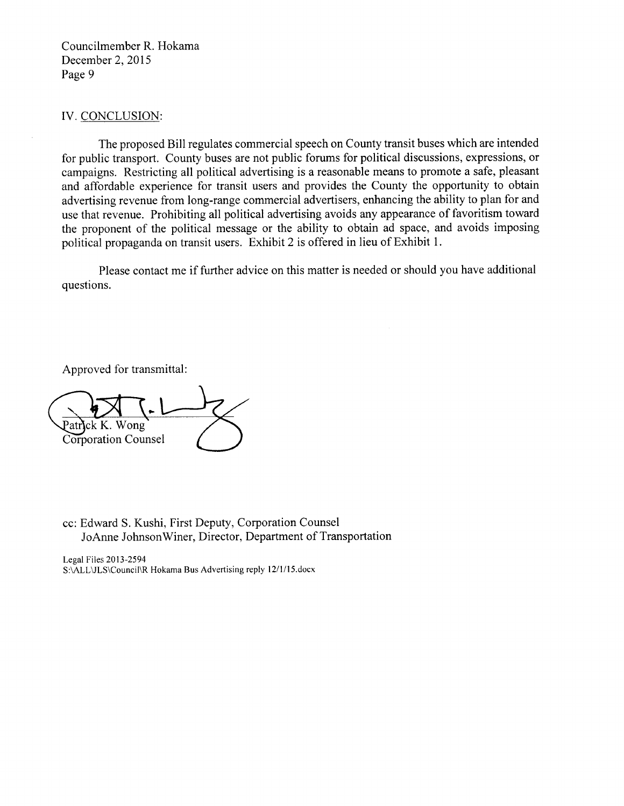Councilmember R. Hokama December 2,2015 Page 9

#### IV. CONCLUSION:

The proposed Bill regulates commercial speech on County transit buses which are intended for public transport. County buses are not public forums for political discussions, expressions, or campaigns. Restricting all political advertising is a reasonable means to promote a safe, pleasant and affordable experience for transit users and provides the County the opportunity to obtain advertising revenue from long-range commercial advertisers, enhancing the ability to plan for and use that revenue. Prohibiting all political advertising avoids any appearance of favoritism toward the proponent of the political message or the ability to obtain ad space, and avoids imposing political propaganda on transit users. Exhibit 2 is offered in lieu of Exhibit 1.

Please contact me if further advice on this matter is needed or should you have additional questions.

Approved for transmittal:

atrick K. Wong Corporation Counsel

cc: Edward S. Kushi, First Deputy, Corporation Counsel JoAnne JohnsonWiner, Director, Department of Transportation

Legal Files 2013-2594 S:\ALL\JLS\Council\R Hokama Bus Advertising reply 12/1/15.docx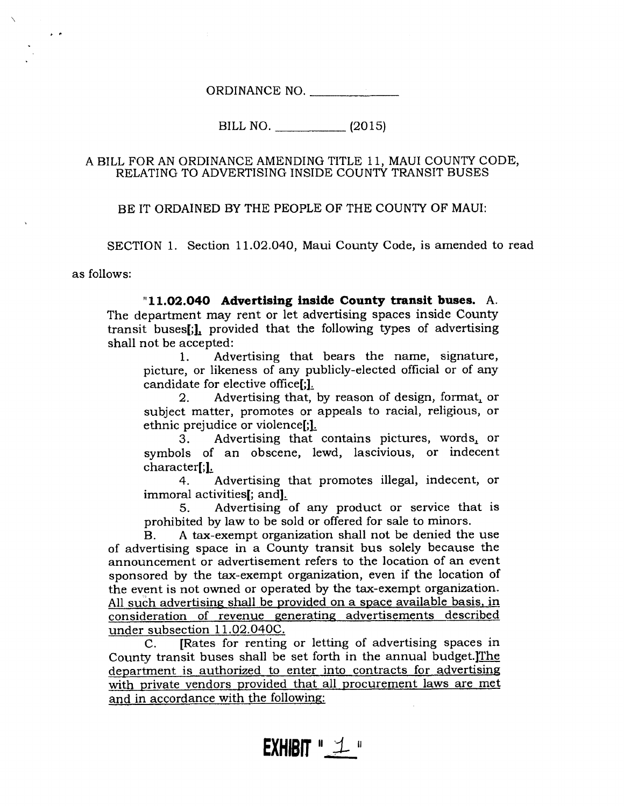ORDINANCE NO.

BILL NO. (2015)

### A BILL FOR AN ORDINANCE AMENDING TITLE 11, MAUI COUNTY CODE, RELATING TO ADVERTISING INSIDE COUNTY TRANSIT BUSES

BE IT ORDAINED BY THE PEOPLE OF THE COUNTY OF MAUI:

SECTION 1. Section 11.02.040, Maui County Code, is amended to read

as follows:

 $\mathbf{r}$ 

"11.O2.O4O Advertislng lnside County transit buses. A. The department may rent or let advertising spaces inside County transit buses[;L provided that the following types of advertising shall not be accepted:

1. Advertising that bears the name, signature, picture, or likeness of any publicly-elected official or of any candidate for elective office[;1.

2. Advertising that, by reason of design, format, or subject matter, promotes or appeals to racial, religious, or ethnic prejudice or violence[;].

3. Advertising that contains pictures, words. or symbols of an obscene, lewd, lascivious, or indecent character[;1.

4. Advertising that promotes illegal, indecent, or immoral activities[; and].

5. Advertising of any product or service that is prohibited by law to be sold or offered for sale to minors.

B. A tax-exempt organization shall not be denied the use of advertising space in a County transit bus solely because the announcement or advertisement refers to the location of an event sponsored by the tax-exempt organization, even if the location of the event is not owned or operated by the tax-exempt organization. All such advertising shall be provided on a space available basis, in consideration of revenue generating advertisements described<br>under subsection 11.02.040C.

C. [Rates for renting or letting of advertising spaces in County transit buses shall be set forth in the annual budget. The department is authorized to enter into contracts for advertising with private vendors provided that all procurement laws are met and in accordance with the following: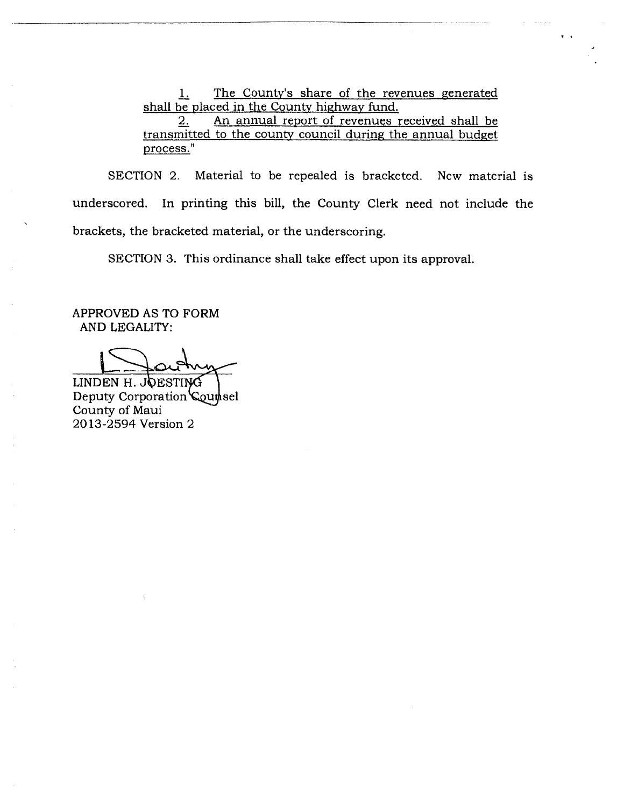1. The County's share of the revenues generated shall be placed in the County highway fund.<br>2. An annual report of revenues r

An annual report of revenues received shall be transmitted to the county council during the annual budget process."

SECTION 2. Material to be repealed is bracketed. New material is underscored. In printing this bill, the County Clerk need not include the brackets, the bracketed material, or the underscoring.

SECTION 3. This ordinance shall take effect upon its approval.

APPROVED AS TO FORM AND LEGALITY:

2013-2594 Version 2 LINDEN H. JOESTING Deputy Corporation Counsel County of Maui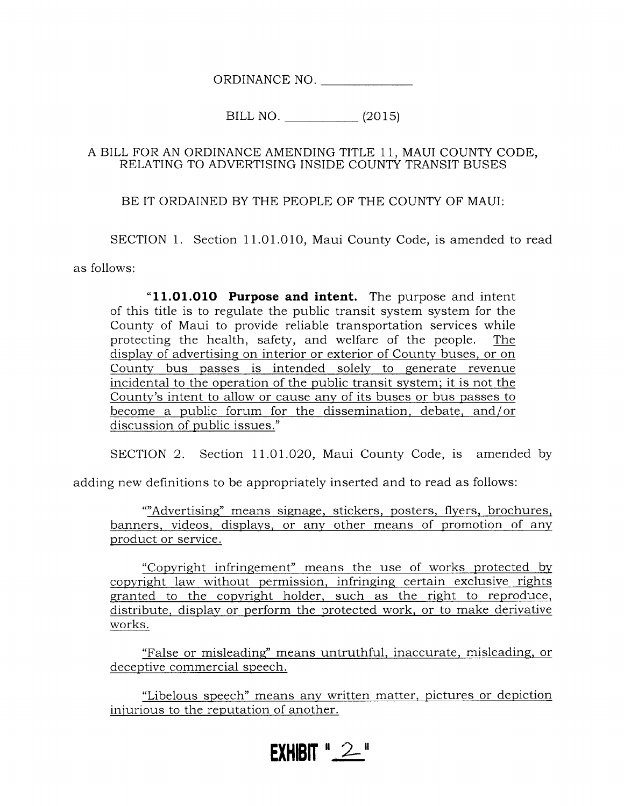ORDINANCE NO.

BILL NO. (2015)

## A BILL FOR AN ORDINANCE AMENDING TITLE 1 1, MAUI COUNTY CODE, RELATING TO ADVERTiSING INSIDE COUNTY TRANSIT BUSES

BE IT ORDAINED BY THE PEOPLE OF THE COUNTY OP MAUI:

SECTION 1. Section 11.01.010, Maui County Code, is amended to read

as follows:

"11.01.010 Purpose and intent. The purpose and intent of this title is to regulate the public transit system system for the County of Maui to provide reliable transportation services while protecting the health, safety, and welfare of the people. The displav of advertising on interior or exterior of Countv buses. or on County bus passes is intended solelv to qenerate revenue incidental to the operation of the public transit svstem: it is not the Countv's intent to allow or cause anv of its buses or bus passes to become a public forum for the dissemination. debate. and/or discussion of public issues."

SECTION 2. Section 11.01.O2O, Maui County Code, is amended by

adding new definitions to be appropriately inserted and to read as follows:

""Advertisinq" means siqnage, stickers, posters, flyers, brochures, banners, videos, displays, or any other means of promotion of any product or service.

"Copyright infrinqement" means the use of works protected bv copvright 1aw without permission, infringing certain exclusive rights granted to the copyriqht holder. such as the riqht to reproduce. distribute, display or perform the protected work. or to make derivative works.

"False or misleadinq" means untruthful. inaccurate. misleading, or deceptive commercial speech.

"Libelous speech" means anv written matter. pictures or depiction iniurious to the reputation of another.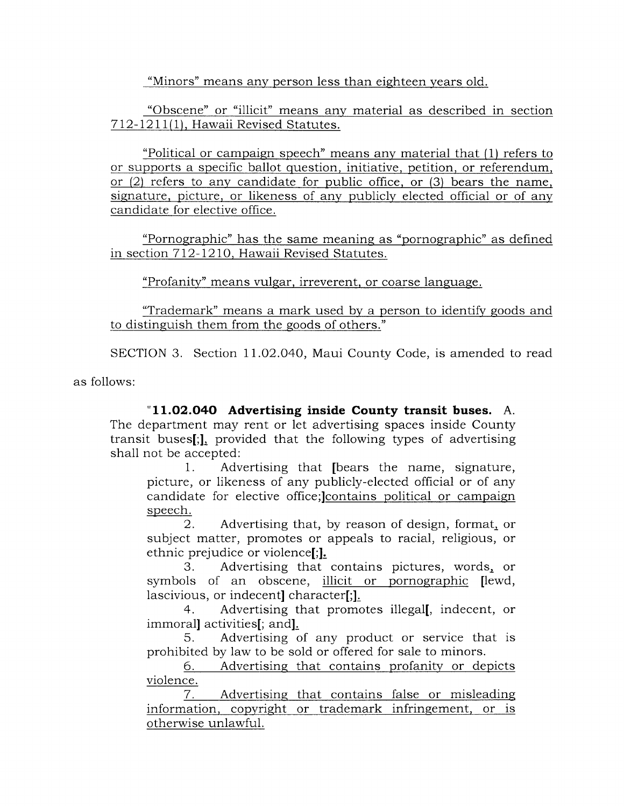"Minors" means any person less than eighteen years old.

"Obscene" or "illicit" means any material as described in section 7 12- 12 1 1(1). Hawaii Revised Statutes.

"Political or campaign speech" means anv material that (1) refers to or supports a specific ballot question, initiative, petition, or referendum. or  $(2)$  refers to any candidate for public office, or  $(3)$  bears the name, signature, picture, or likeness of any publicly elected official or of any candidate for elective office.

"Pornographic" has the same meaninq as "pornographic" as defined in section 712-1210, Hawaii Revised Statutes.

"Profanity" means vulgar, irreverent, or coarse language.

"Trademark" means a mark used by a person to identify goods and to distinguish them from the qoods of others."

SECTION 3. Section 11.O2.O4O, Maui County Code, is amended to read

as follows:

"11.O2.O4O Advertising inside County transit buses. A. The department may rent or let advertising spaces inside County transit buses[;], provided that the following types of advertising shall not be accepted:

1. Advertising that [bears the name, signature, picture, or likeness of any publicly-elected official or of any candidate for elective office;lcontains political or campaiqn speech.

2. Advertising that, by reason of design, format, or subject matter, promotes or appeals to racial, religious, or ethnic prejudice or violence[;].

3. Advertising that contains pictures, words, or symbols of an obscene, illicit or pornographic [lewd, lascivious, or indecent] character[;].

4. Advertising that promotes i11egal[, indecent, or immorall activities[; and].

5. Advertising of any product or service that is prohibited by law to be sold or offered for sale to minors.

6. Advertising that contains profanity or depicts violence.

7. Advertising that contains false or misleading information. copyriqht or trademark infringement. or is otherwise unlawful.